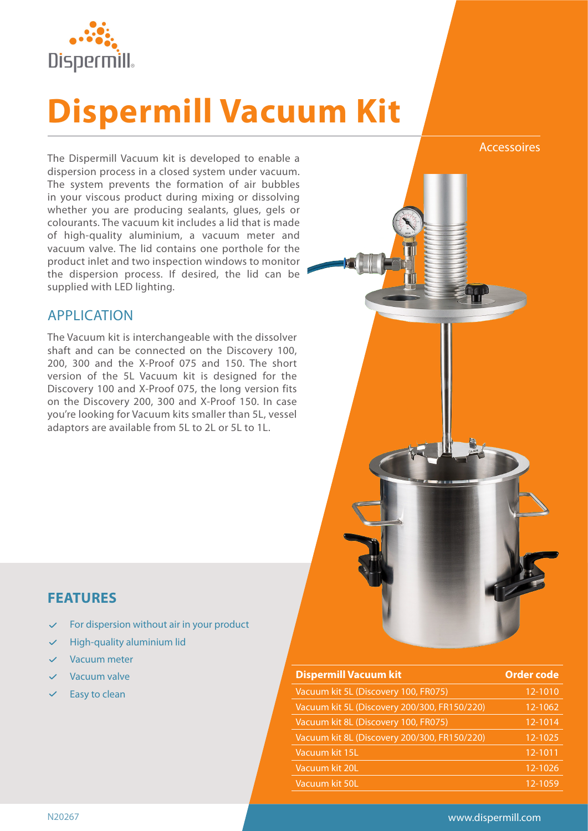

# **Dispermill Vacuum Kit**

The Dispermill Vacuum kit is developed to enable a dispersion process in a closed system under vacuum. The system prevents the formation of air bubbles in your viscous product during mixing or dissolving whether you are producing sealants, glues, gels or colourants. The vacuum kit includes a lid that is made of high-quality aluminium, a vacuum meter and vacuum valve. The lid contains one porthole for the product inlet and two inspection windows to monitor the dispersion process. If desired, the lid can be supplied with LED lighting.

#### APPLICATION

The Vacuum kit is interchangeable with the dissolver shaft and can be connected on the Discovery 100, 200, 300 and the X-Proof 075 and 150. The short version of the 5L Vacuum kit is designed for the Discovery 100 and X-Proof 075, the long version fits on the Discovery 200, 300 and X-Proof 150. In case you're looking for Vacuum kits smaller than 5L, vessel adaptors are available from 5L to 2L or 5L to 1L.



## **FEATURES**

- For dispersion without air in your product
- High-quality aluminium lid
- Vacuum meter
- Vacuum valve
- Easy to clean

| <b>Dispermill Vacuum kit</b>                 | <b>Order code</b> |
|----------------------------------------------|-------------------|
| Vacuum kit 5L (Discovery 100, FR075)         | 12-1010           |
| Vacuum kit 5L (Discovery 200/300, FR150/220) | 12-1062           |
| Vacuum kit 8L (Discovery 100, FR075)         | 12-1014           |
| Vacuum kit 8L (Discovery 200/300, FR150/220) | $12 - 1025$       |
| Vacuum kit 15L                               | 12-1011           |
| Vacuum kit 20L                               | $12 - 1026$       |
| Vacuum kit 50L                               | 12-1059           |